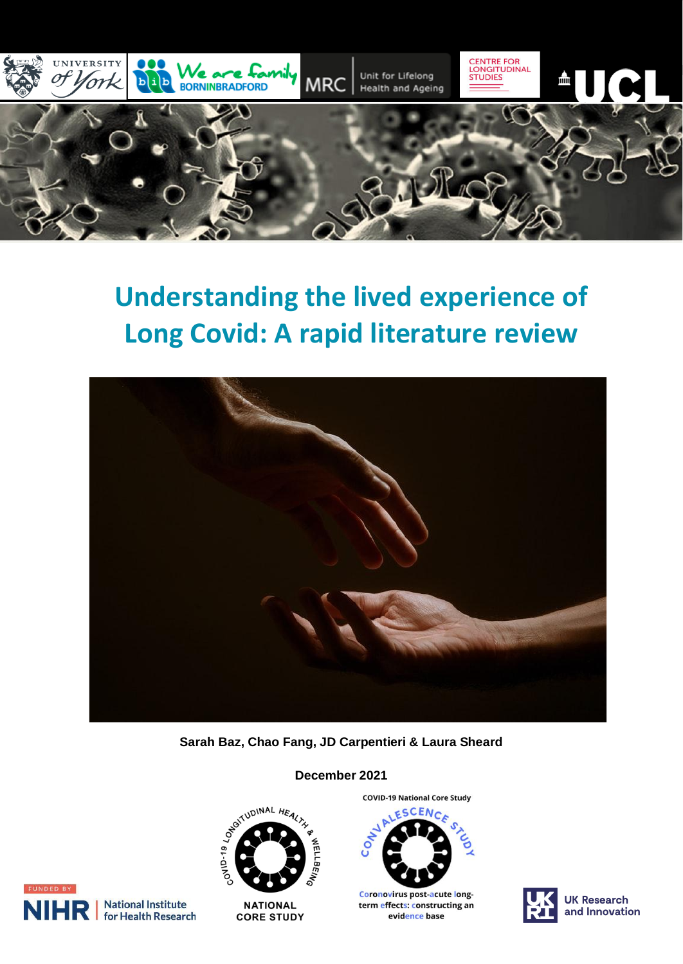

# **Understanding the lived experience of Long Covid: A rapid literature review**



**Sarah Baz, Chao Fang, JD Carpentieri & Laura Sheard** 



**NATIONAL CORE STUDY**  **COVID-19 National Core Study** 



**Coronovirus post-acute long**term effects: constructing an evidence base





**National Institute** for Health Research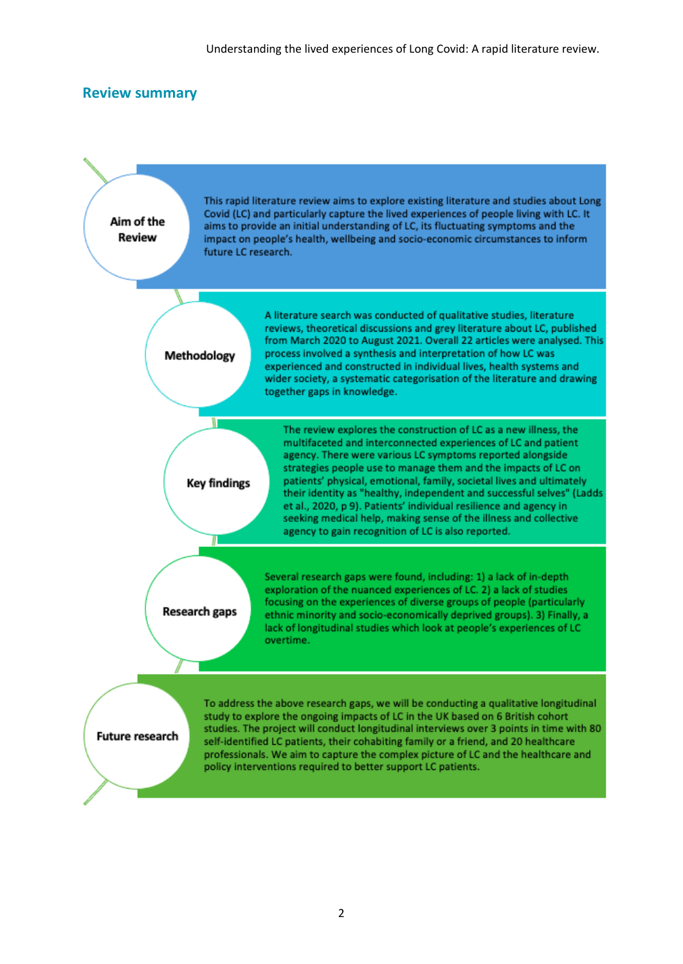#### **Review summary**

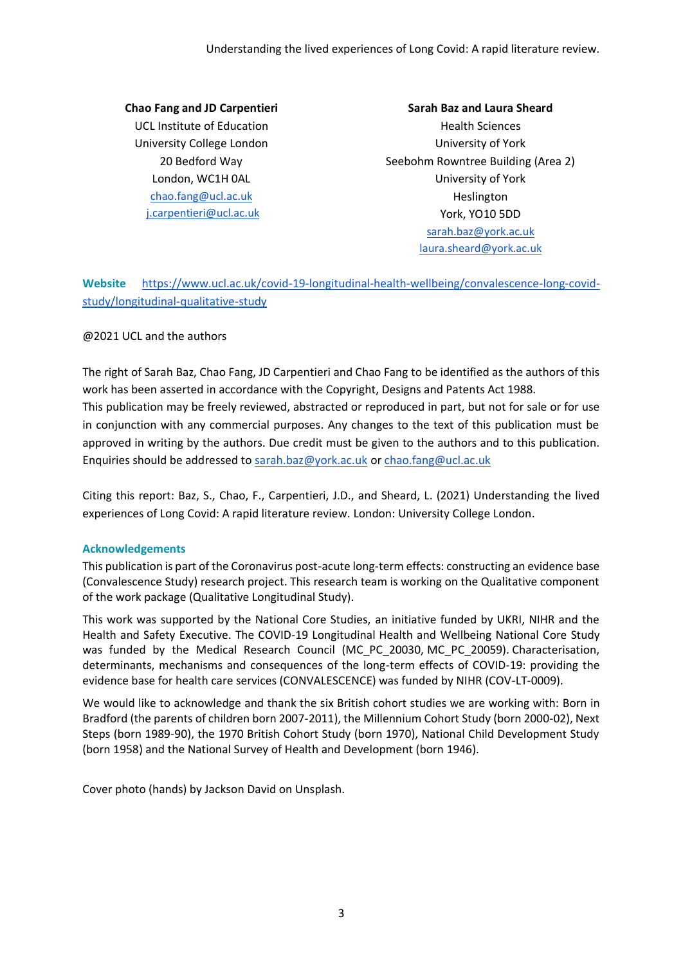**Chao Fang and JD Carpentieri** UCL Institute of Education University College London 20 Bedford Way London, WC1H 0AL [chao.fang@ucl.ac.uk](mailto:chao.fang@ucl.ac.uk) [j.carpentieri@ucl.ac.uk](mailto:j.carpentieri@ucl.ac.uk)

**Sarah Baz and Laura Sheard** Health Sciences University of York Seebohm Rowntree Building (Area 2) University of York Heslington York, YO10 5DD [sarah.baz@york.ac.uk](mailto:sarah.baz@york.ac.uk) [laura.sheard@york.ac.uk](mailto:laura.sheard@york.ac.uk)

**Website** [https://www.ucl.ac.uk/covid-19-longitudinal-health-wellbeing/convalescence-long-covid](https://www.ucl.ac.uk/covid-19-longitudinal-health-wellbeing/convalescence-long-covid-study/longitudinal-qualitative-study)[study/longitudinal-qualitative-study](https://www.ucl.ac.uk/covid-19-longitudinal-health-wellbeing/convalescence-long-covid-study/longitudinal-qualitative-study)

#### @2021 UCL and the authors

The right of Sarah Baz, Chao Fang, JD Carpentieri and Chao Fang to be identified as the authors of this work has been asserted in accordance with the Copyright, Designs and Patents Act 1988. This publication may be freely reviewed, abstracted or reproduced in part, but not for sale or for use in conjunction with any commercial purposes. Any changes to the text of this publication must be approved in writing by the authors. Due credit must be given to the authors and to this publication. Enquiries should be addressed to [sarah.baz@york.ac.uk](mailto:sarah.baz@york.ac.uk) or [chao.fang@ucl.ac.uk](mailto:chao.fang@ucl.ac.uk)

Citing this report: Baz, S., Chao, F., Carpentieri, J.D., and Sheard, L. (2021) Understanding the lived experiences of Long Covid: A rapid literature review. London: University College London.

#### **Acknowledgements**

This publication is part of the Coronavirus post-acute long-term effects: constructing an evidence base (Convalescence Study) research project. This research team is working on the Qualitative component of the work package (Qualitative Longitudinal Study).

This work was supported by the National Core Studies, an initiative funded by UKRI, NIHR and the Health and Safety Executive. The COVID-19 Longitudinal Health and Wellbeing National Core Study was funded by the Medical Research Council (MC\_PC\_20030, MC\_PC\_20059). Characterisation, determinants, mechanisms and consequences of the long-term effects of COVID-19: providing the evidence base for health care services (CONVALESCENCE) was funded by NIHR (COV-LT-0009).

We would like to acknowledge and thank the six British cohort studies we are working with: Born in Bradford (the parents of children born 2007-2011), the Millennium Cohort Study (born 2000-02), Next Steps (born 1989-90), the 1970 British Cohort Study (born 1970), National Child Development Study (born 1958) and the National Survey of Health and Development (born 1946).

Cover photo (hands) by Jackson David on Unsplash.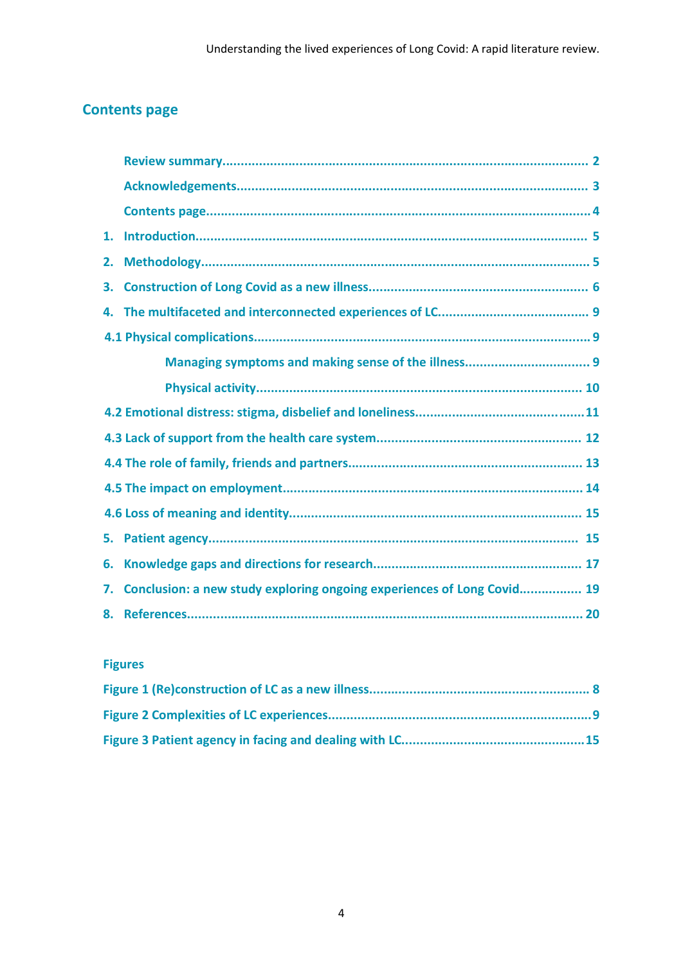# **Contents page**

| 1. |                                                                        |  |
|----|------------------------------------------------------------------------|--|
| 2. |                                                                        |  |
| 3. |                                                                        |  |
| 4. |                                                                        |  |
|    |                                                                        |  |
|    |                                                                        |  |
|    |                                                                        |  |
|    |                                                                        |  |
|    |                                                                        |  |
|    |                                                                        |  |
|    |                                                                        |  |
|    |                                                                        |  |
| 5. |                                                                        |  |
| 6. |                                                                        |  |
| 7. | Conclusion: a new study exploring ongoing experiences of Long Covid 19 |  |
| 8. |                                                                        |  |
|    |                                                                        |  |

## **Figures**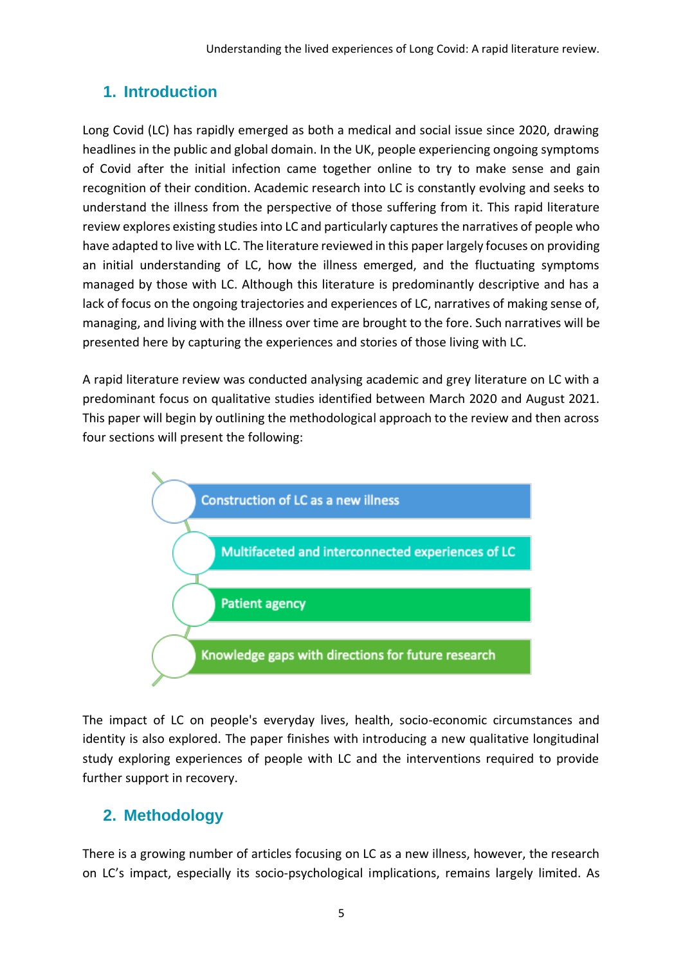# **1. Introduction**

Long Covid (LC) has rapidly emerged as both a medical and social issue since 2020, drawing headlines in the public and global domain. In the UK, people experiencing ongoing symptoms of Covid after the initial infection came together online to try to make sense and gain recognition of their condition. Academic research into LC is constantly evolving and seeks to understand the illness from the perspective of those suffering from it. This rapid literature review explores existing studies into LC and particularly captures the narratives of people who have adapted to live with LC. The literature reviewed in this paper largely focuses on providing an initial understanding of LC, how the illness emerged, and the fluctuating symptoms managed by those with LC. Although this literature is predominantly descriptive and has a lack of focus on the ongoing trajectories and experiences of LC, narratives of making sense of, managing, and living with the illness over time are brought to the fore. Such narratives will be presented here by capturing the experiences and stories of those living with LC.

A rapid literature review was conducted analysing academic and grey literature on LC with a predominant focus on qualitative studies identified between March 2020 and August 2021. This paper will begin by outlining the methodological approach to the review and then across four sections will present the following:



The impact of LC on people's everyday lives, health, socio-economic circumstances and identity is also explored. The paper finishes with introducing a new qualitative longitudinal study exploring experiences of people with LC and the interventions required to provide further support in recovery.

# **2. Methodology**

There is a growing number of articles focusing on LC as a new illness, however, the research on LC's impact, especially its socio-psychological implications, remains largely limited. As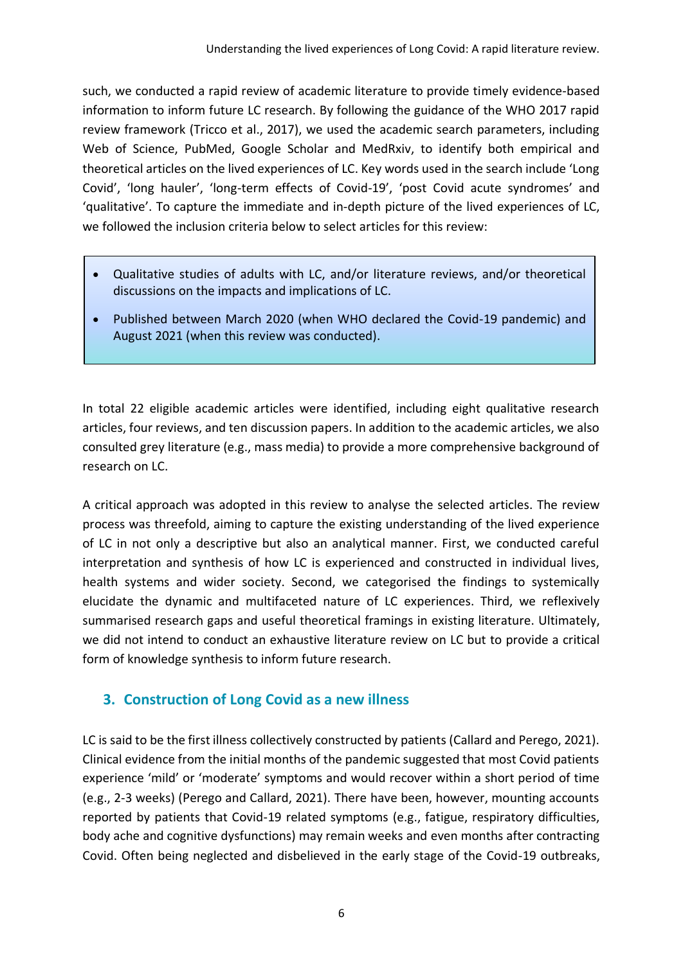such, we conducted a rapid review of academic literature to provide timely evidence-based information to inform future LC research. By following the guidance of the WHO 2017 rapid review framework (Tricco et al., 2017), we used the academic search parameters, including Web of Science, PubMed, Google Scholar and MedRxiv, to identify both empirical and theoretical articles on the lived experiences of LC. Key words used in the search include 'Long Covid', 'long hauler', 'long-term effects of Covid-19', 'post Covid acute syndromes' and 'qualitative'. To capture the immediate and in-depth picture of the lived experiences of LC, we followed the inclusion criteria below to select articles for this review:

- Qualitative studies of adults with LC, and/or literature reviews, and/or theoretical discussions on the impacts and implications of LC.
- Published between March 2020 (when WHO declared the Covid-19 pandemic) and August 2021 (when this review was conducted).

In total 22 eligible academic articles were identified, including eight qualitative research articles, four reviews, and ten discussion papers. In addition to the academic articles, we also consulted grey literature (e.g., mass media) to provide a more comprehensive background of research on LC.

A critical approach was adopted in this review to analyse the selected articles. The review process was threefold, aiming to capture the existing understanding of the lived experience of LC in not only a descriptive but also an analytical manner. First, we conducted careful interpretation and synthesis of how LC is experienced and constructed in individual lives, health systems and wider society. Second, we categorised the findings to systemically elucidate the dynamic and multifaceted nature of LC experiences. Third, we reflexively summarised research gaps and useful theoretical framings in existing literature. Ultimately, we did not intend to conduct an exhaustive literature review on LC but to provide a critical form of knowledge synthesis to inform future research.

## **3. Construction of Long Covid as a new illness**

LC is said to be the first illness collectively constructed by patients (Callard and Perego, 2021). Clinical evidence from the initial months of the pandemic suggested that most Covid patients experience 'mild' or 'moderate' symptoms and would recover within a short period of time (e.g., 2-3 weeks) (Perego and Callard, 2021). There have been, however, mounting accounts reported by patients that Covid-19 related symptoms (e.g., fatigue, respiratory difficulties, body ache and cognitive dysfunctions) may remain weeks and even months after contracting Covid. Often being neglected and disbelieved in the early stage of the Covid-19 outbreaks,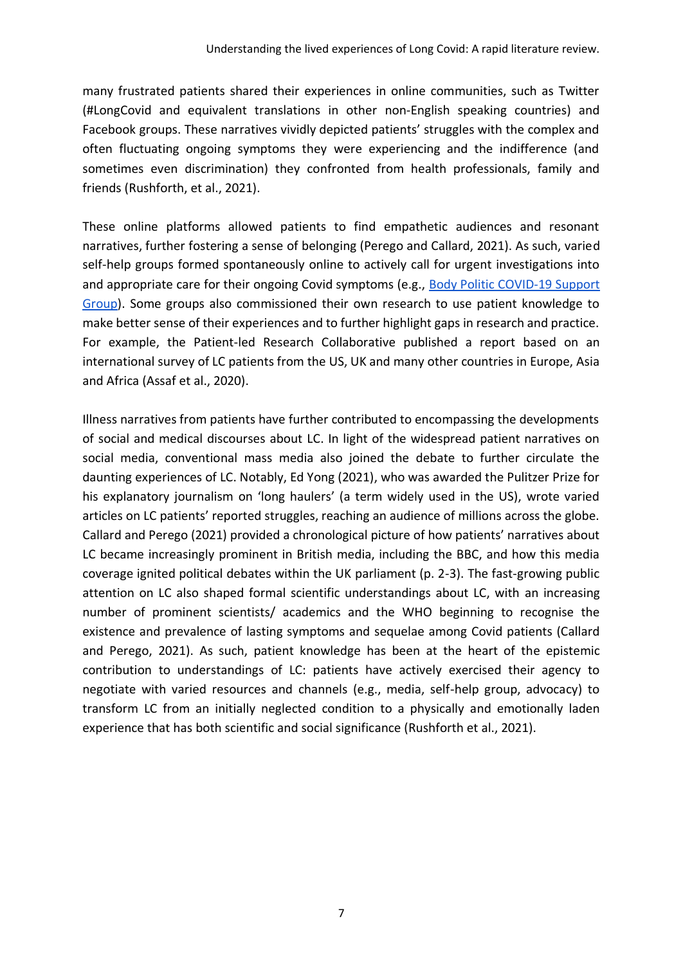many frustrated patients shared their experiences in online communities, such as Twitter (#LongCovid and equivalent translations in other non-English speaking countries) and Facebook groups. These narratives vividly depicted patients' struggles with the complex and often fluctuating ongoing symptoms they were experiencing and the indifference (and sometimes even discrimination) they confronted from health professionals, family and friends (Rushforth, et al., 2021).

These online platforms allowed patients to find empathetic audiences and resonant narratives, further fostering a sense of belonging (Perego and Callard, 2021). As such, varied self-help groups formed spontaneously online to actively call for urgent investigations into and appropriate care for their ongoing Covid symptoms (e.g., [Body Politic COVID-19 Support](https://www.wearebodypolitic.com/covid19)  [Group\)](https://www.wearebodypolitic.com/covid19). Some groups also commissioned their own research to use patient knowledge to make better sense of their experiences and to further highlight gaps in research and practice. For example, the Patient-led Research Collaborative published a report based on an international survey of LC patients from the US, UK and many other countries in Europe, Asia and Africa (Assaf et al., 2020).

Illness narratives from patients have further contributed to encompassing the developments of social and medical discourses about LC. In light of the widespread patient narratives on social media, conventional mass media also joined the debate to further circulate the daunting experiences of LC. Notably, Ed Yong (2021), who was awarded the Pulitzer Prize for his explanatory journalism on 'long haulers' (a term widely used in the US), wrote varied articles on LC patients' reported struggles, reaching an audience of millions across the globe. Callard and Perego (2021) provided a chronological picture of how patients' narratives about LC became increasingly prominent in British media, including the BBC, and how this media coverage ignited political debates within the UK parliament (p. 2-3). The fast-growing public attention on LC also shaped formal scientific understandings about LC, with an increasing number of prominent scientists/ academics and the WHO beginning to recognise the existence and prevalence of lasting symptoms and sequelae among Covid patients (Callard and Perego, 2021). As such, patient knowledge has been at the heart of the epistemic contribution to understandings of LC: patients have actively exercised their agency to negotiate with varied resources and channels (e.g., media, self-help group, advocacy) to transform LC from an initially neglected condition to a physically and emotionally laden experience that has both scientific and social significance (Rushforth et al., 2021).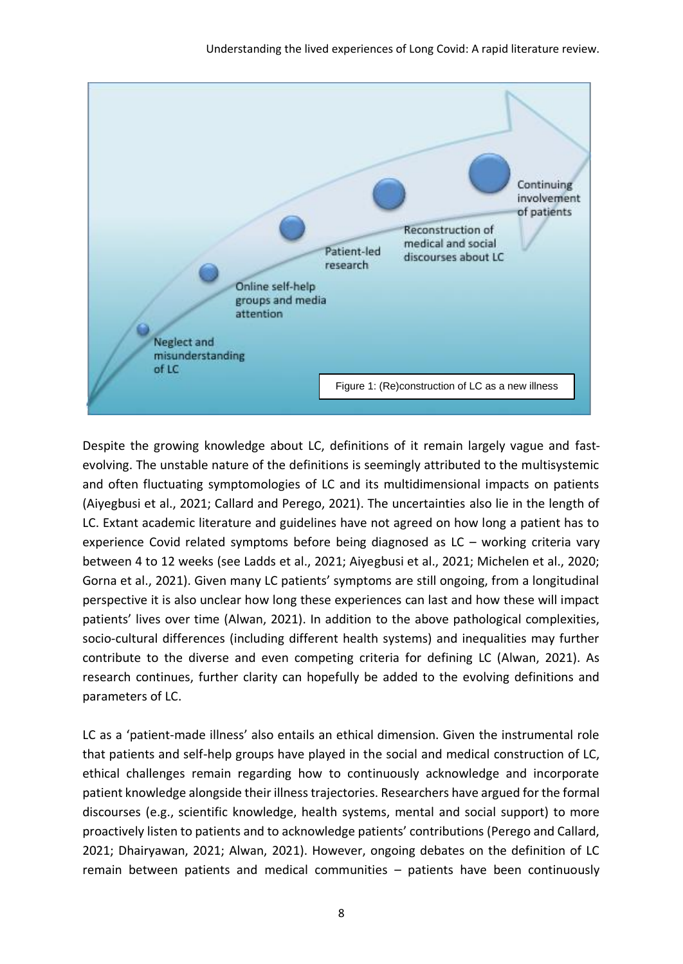

Despite the growing knowledge about LC, definitions of it remain largely vague and fastevolving. The unstable nature of the definitions is seemingly attributed to the multisystemic and often fluctuating symptomologies of LC and its multidimensional impacts on patients (Aiyegbusi et al., 2021; Callard and Perego, 2021). The uncertainties also lie in the length of LC. Extant academic literature and guidelines have not agreed on how long a patient has to experience Covid related symptoms before being diagnosed as LC – working criteria vary between 4 to 12 weeks (see Ladds et al., 2021; Aiyegbusi et al., 2021; Michelen et al., 2020; Gorna et al., 2021). Given many LC patients' symptoms are still ongoing, from a longitudinal perspective it is also unclear how long these experiences can last and how these will impact patients' lives over time (Alwan, 2021). In addition to the above pathological complexities, socio-cultural differences (including different health systems) and inequalities may further contribute to the diverse and even competing criteria for defining LC (Alwan, 2021). As research continues, further clarity can hopefully be added to the evolving definitions and parameters of LC.

LC as a 'patient-made illness' also entails an ethical dimension. Given the instrumental role that patients and self-help groups have played in the social and medical construction of LC, ethical challenges remain regarding how to continuously acknowledge and incorporate patient knowledge alongside their illness trajectories. Researchers have argued for the formal discourses (e.g., scientific knowledge, health systems, mental and social support) to more proactively listen to patients and to acknowledge patients' contributions (Perego and Callard, 2021; Dhairyawan, 2021; Alwan, 2021). However, ongoing debates on the definition of LC remain between patients and medical communities – patients have been continuously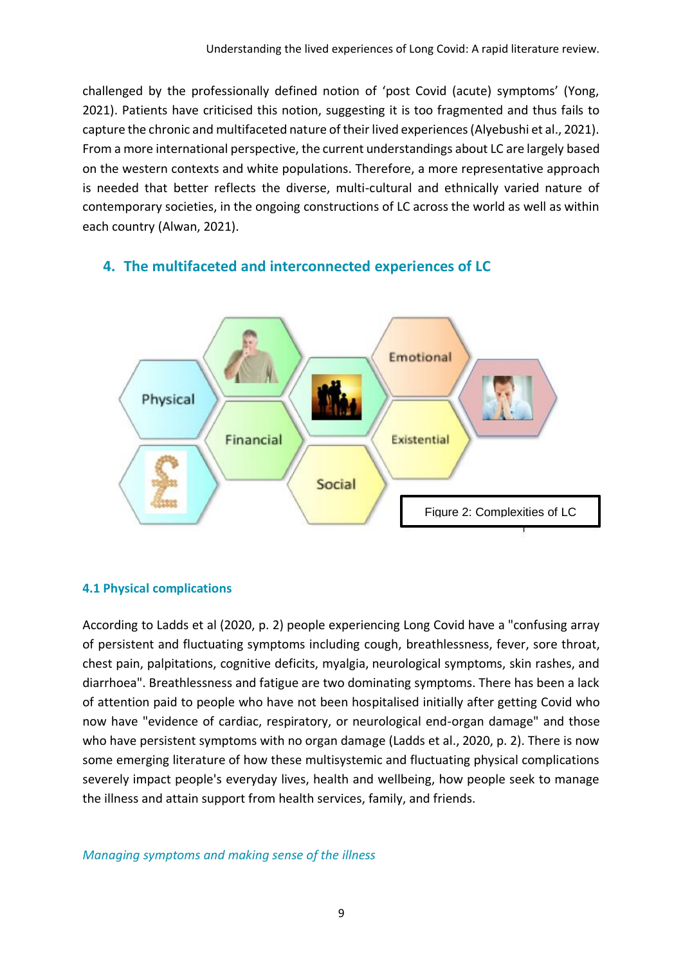challenged by the professionally defined notion of 'post Covid (acute) symptoms' (Yong, 2021). Patients have criticised this notion, suggesting it is too fragmented and thus fails to capture the chronic and multifaceted nature of their lived experiences (Alyebushi et al., 2021). From a more international perspective, the current understandings about LC are largely based on the western contexts and white populations. Therefore, a more representative approach is needed that better reflects the diverse, multi-cultural and ethnically varied nature of contemporary societies, in the ongoing constructions of LC across the world as well as within each country (Alwan, 2021).

## **4. The multifaceted and interconnected experiences of LC**



#### **4.1 Physical complications**

According to Ladds et al (2020, p. 2) people experiencing Long Covid have a "confusing array of persistent and fluctuating symptoms including cough, breathlessness, fever, sore throat, chest pain, palpitations, cognitive deficits, myalgia, neurological symptoms, skin rashes, and diarrhoea". Breathlessness and fatigue are two dominating symptoms. There has been a lack of attention paid to people who have not been hospitalised initially after getting Covid who now have "evidence of cardiac, respiratory, or neurological end-organ damage" and those who have persistent symptoms with no organ damage (Ladds et al., 2020, p. 2). There is now some emerging literature of how these multisystemic and fluctuating physical complications severely impact people's everyday lives, health and wellbeing, how people seek to manage the illness and attain support from health services, family, and friends.

#### *Managing symptoms and making sense of the illness*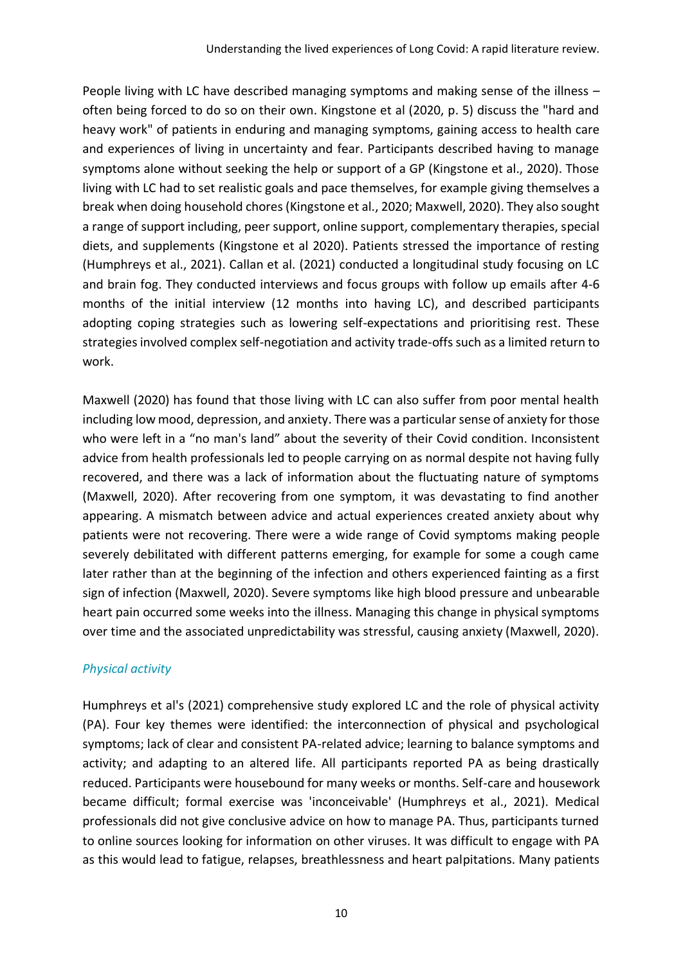People living with LC have described managing symptoms and making sense of the illness – often being forced to do so on their own. Kingstone et al (2020, p. 5) discuss the "hard and heavy work" of patients in enduring and managing symptoms, gaining access to health care and experiences of living in uncertainty and fear. Participants described having to manage symptoms alone without seeking the help or support of a GP (Kingstone et al., 2020). Those living with LC had to set realistic goals and pace themselves, for example giving themselves a break when doing household chores (Kingstone et al., 2020; Maxwell, 2020). They also sought a range of support including, peer support, online support, complementary therapies, special diets, and supplements (Kingstone et al 2020). Patients stressed the importance of resting (Humphreys et al., 2021). Callan et al. (2021) conducted a longitudinal study focusing on LC and brain fog. They conducted interviews and focus groups with follow up emails after 4-6 months of the initial interview (12 months into having LC), and described participants adopting coping strategies such as lowering self-expectations and prioritising rest. These strategies involved complex self-negotiation and activity trade-offs such as a limited return to work.

Maxwell (2020) has found that those living with LC can also suffer from poor mental health including low mood, depression, and anxiety. There was a particular sense of anxiety for those who were left in a "no man's land" about the severity of their Covid condition. Inconsistent advice from health professionals led to people carrying on as normal despite not having fully recovered, and there was a lack of information about the fluctuating nature of symptoms (Maxwell, 2020). After recovering from one symptom, it was devastating to find another appearing. A mismatch between advice and actual experiences created anxiety about why patients were not recovering. There were a wide range of Covid symptoms making people severely debilitated with different patterns emerging, for example for some a cough came later rather than at the beginning of the infection and others experienced fainting as a first sign of infection (Maxwell, 2020). Severe symptoms like high blood pressure and unbearable heart pain occurred some weeks into the illness. Managing this change in physical symptoms over time and the associated unpredictability was stressful, causing anxiety (Maxwell, 2020).

#### *Physical activity*

Humphreys et al's (2021) comprehensive study explored LC and the role of physical activity (PA). Four key themes were identified: the interconnection of physical and psychological symptoms; lack of clear and consistent PA-related advice; learning to balance symptoms and activity; and adapting to an altered life. All participants reported PA as being drastically reduced. Participants were housebound for many weeks or months. Self-care and housework became difficult; formal exercise was 'inconceivable' (Humphreys et al., 2021). Medical professionals did not give conclusive advice on how to manage PA. Thus, participants turned to online sources looking for information on other viruses. It was difficult to engage with PA as this would lead to fatigue, relapses, breathlessness and heart palpitations. Many patients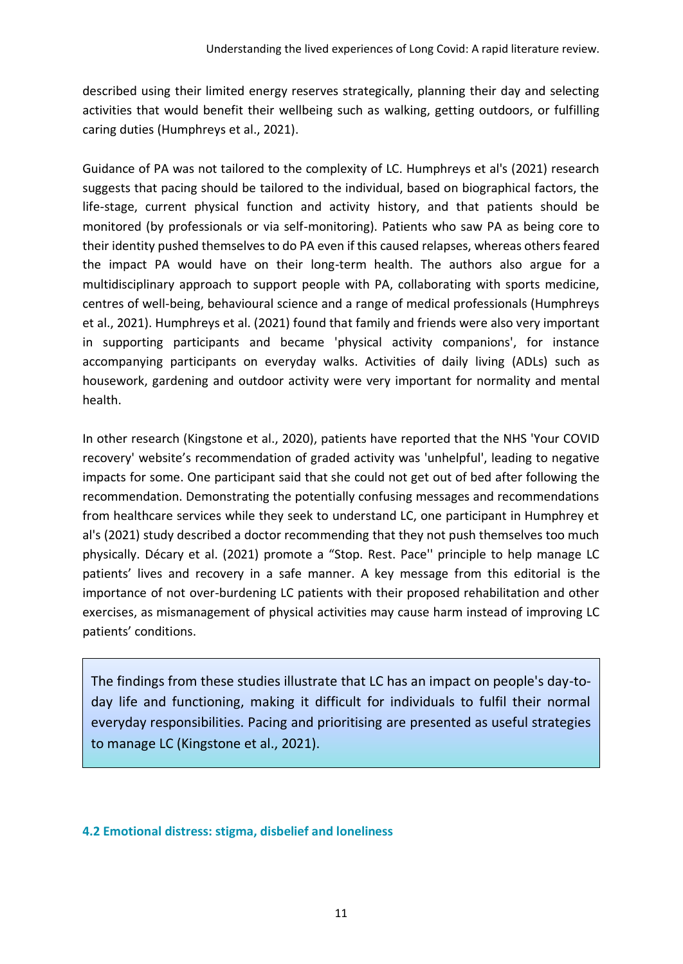described using their limited energy reserves strategically, planning their day and selecting activities that would benefit their wellbeing such as walking, getting outdoors, or fulfilling caring duties (Humphreys et al., 2021).

Guidance of PA was not tailored to the complexity of LC. Humphreys et al's (2021) research suggests that pacing should be tailored to the individual, based on biographical factors, the life-stage, current physical function and activity history, and that patients should be monitored (by professionals or via self-monitoring). Patients who saw PA as being core to their identity pushed themselves to do PA even if this caused relapses, whereas others feared the impact PA would have on their long-term health. The authors also argue for a multidisciplinary approach to support people with PA, collaborating with sports medicine, centres of well-being, behavioural science and a range of medical professionals (Humphreys et al., 2021). Humphreys et al. (2021) found that family and friends were also very important in supporting participants and became 'physical activity companions', for instance accompanying participants on everyday walks. Activities of daily living (ADLs) such as housework, gardening and outdoor activity were very important for normality and mental health.

In other research (Kingstone et al., 2020), patients have reported that the NHS 'Your COVID recovery' website's recommendation of graded activity was 'unhelpful', leading to negative impacts for some. One participant said that she could not get out of bed after following the recommendation. Demonstrating the potentially confusing messages and recommendations from healthcare services while they seek to understand LC, one participant in Humphrey et al's (2021) study described a doctor recommending that they not push themselves too much physically. Décary et al. (2021) promote a "Stop. Rest. Pace'' principle to help manage LC patients' lives and recovery in a safe manner. A key message from this editorial is the importance of not over-burdening LC patients with their proposed rehabilitation and other exercises, as mismanagement of physical activities may cause harm instead of improving LC patients' conditions.

The findings from these studies illustrate that LC has an impact on people's day-today life and functioning, making it difficult for individuals to fulfil their normal everyday responsibilities. Pacing and prioritising are presented as useful strategies to manage LC (Kingstone et al., 2021).

#### **4.2 Emotional distress: stigma, disbelief and loneliness**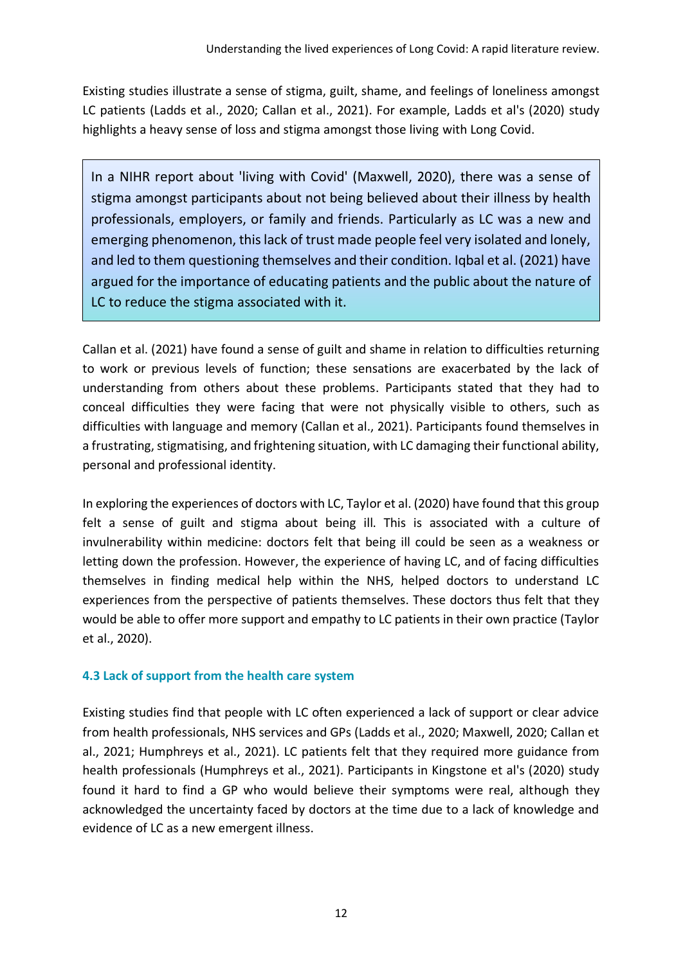Existing studies illustrate a sense of stigma, guilt, shame, and feelings of loneliness amongst LC patients (Ladds et al., 2020; Callan et al., 2021). For example, Ladds et al's (2020) study highlights a heavy sense of loss and stigma amongst those living with Long Covid.

In a NIHR report about 'living with Covid' (Maxwell, 2020), there was a sense of stigma amongst participants about not being believed about their illness by health professionals, employers, or family and friends. Particularly as LC was a new and emerging phenomenon, this lack of trust made people feel very isolated and lonely, and led to them questioning themselves and their condition. Iqbal et al. (2021) have argued for the importance of educating patients and the public about the nature of LC to reduce the stigma associated with it.

Callan et al. (2021) have found a sense of guilt and shame in relation to difficulties returning to work or previous levels of function; these sensations are exacerbated by the lack of understanding from others about these problems. Participants stated that they had to conceal difficulties they were facing that were not physically visible to others, such as difficulties with language and memory (Callan et al., 2021). Participants found themselves in a frustrating, stigmatising, and frightening situation, with LC damaging their functional ability, personal and professional identity.

In exploring the experiences of doctors with LC, Taylor et al. (2020) have found that this group felt a sense of guilt and stigma about being ill. This is associated with a culture of invulnerability within medicine: doctors felt that being ill could be seen as a weakness or letting down the profession. However, the experience of having LC, and of facing difficulties themselves in finding medical help within the NHS, helped doctors to understand LC experiences from the perspective of patients themselves. These doctors thus felt that they would be able to offer more support and empathy to LC patients in their own practice (Taylor et al., 2020).

#### **4.3 Lack of support from the health care system**

Existing studies find that people with LC often experienced a lack of support or clear advice from health professionals, NHS services and GPs (Ladds et al., 2020; Maxwell, 2020; Callan et al., 2021; Humphreys et al., 2021). LC patients felt that they required more guidance from health professionals (Humphreys et al., 2021). Participants in Kingstone et al's (2020) study found it hard to find a GP who would believe their symptoms were real, although they acknowledged the uncertainty faced by doctors at the time due to a lack of knowledge and evidence of LC as a new emergent illness.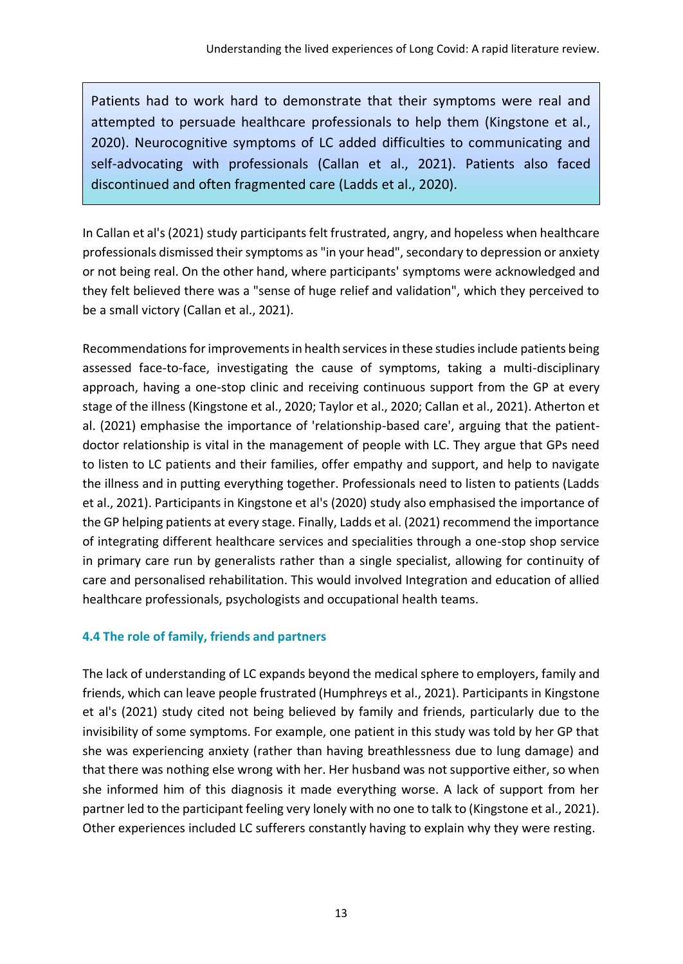Patients had to work hard to demonstrate that their symptoms were real and attempted to persuade healthcare professionals to help them (Kingstone et al., 2020). Neurocognitive symptoms of LC added difficulties to communicating and self-advocating with professionals (Callan et al., 2021). Patients also faced discontinued and often fragmented care (Ladds et al., 2020).

In Callan et al's (2021) study participants felt frustrated, angry, and hopeless when healthcare professionals dismissed their symptoms as "in your head", secondary to depression or anxiety or not being real. On the other hand, where participants' symptoms were acknowledged and they felt believed there was a "sense of huge relief and validation", which they perceived to be a small victory (Callan et al., 2021).

Recommendations for improvements in health services in these studies include patients being assessed face-to-face, investigating the cause of symptoms, taking a multi-disciplinary approach, having a one-stop clinic and receiving continuous support from the GP at every stage of the illness (Kingstone et al., 2020; Taylor et al., 2020; Callan et al., 2021). Atherton et al. (2021) emphasise the importance of 'relationship-based care', arguing that the patientdoctor relationship is vital in the management of people with LC. They argue that GPs need to listen to LC patients and their families, offer empathy and support, and help to navigate the illness and in putting everything together. Professionals need to listen to patients (Ladds et al., 2021). Participants in Kingstone et al's (2020) study also emphasised the importance of the GP helping patients at every stage. Finally, Ladds et al. (2021) recommend the importance of integrating different healthcare services and specialities through a one-stop shop service in primary care run by generalists rather than a single specialist, allowing for continuity of care and personalised rehabilitation. This would involved Integration and education of allied healthcare professionals, psychologists and occupational health teams.

### **4.4 The role of family, friends and partners**

The lack of understanding of LC expands beyond the medical sphere to employers, family and friends, which can leave people frustrated (Humphreys et al., 2021). Participants in Kingstone et al's (2021) study cited not being believed by family and friends, particularly due to the invisibility of some symptoms. For example, one patient in this study was told by her GP that she was experiencing anxiety (rather than having breathlessness due to lung damage) and that there was nothing else wrong with her. Her husband was not supportive either, so when she informed him of this diagnosis it made everything worse. A lack of support from her partner led to the participant feeling very lonely with no one to talk to (Kingstone et al., 2021). Other experiences included LC sufferers constantly having to explain why they were resting.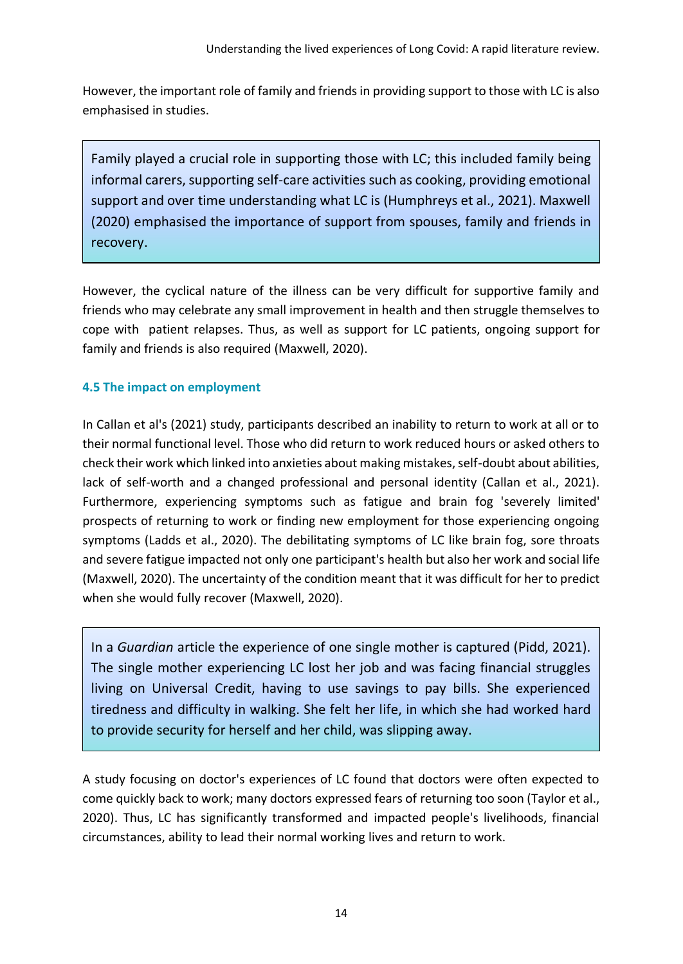However, the important role of family and friends in providing support to those with LC is also emphasised in studies.

Family played a crucial role in supporting those with LC; this included family being informal carers, supporting self-care activities such as cooking, providing emotional support and over time understanding what LC is (Humphreys et al., 2021). Maxwell (2020) emphasised the importance of support from spouses, family and friends in recovery.

However, the cyclical nature of the illness can be very difficult for supportive family and friends who may celebrate any small improvement in health and then struggle themselves to cope with patient relapses. Thus, as well as support for LC patients, ongoing support for family and friends is also required (Maxwell, 2020).

#### **4.5 The impact on employment**

In Callan et al's (2021) study, participants described an inability to return to work at all or to their normal functional level. Those who did return to work reduced hours or asked others to check their work which linked into anxieties about making mistakes, self-doubt about abilities, lack of self-worth and a changed professional and personal identity (Callan et al., 2021). Furthermore, experiencing symptoms such as fatigue and brain fog 'severely limited' prospects of returning to work or finding new employment for those experiencing ongoing symptoms (Ladds et al., 2020). The debilitating symptoms of LC like brain fog, sore throats and severe fatigue impacted not only one participant's health but also her work and social life (Maxwell, 2020). The uncertainty of the condition meant that it was difficult for her to predict when she would fully recover (Maxwell, 2020).

In a *Guardian* article the experience of one single mother is captured (Pidd, 2021). The single mother experiencing LC lost her job and was facing financial struggles living on Universal Credit, having to use savings to pay bills. She experienced tiredness and difficulty in walking. She felt her life, in which she had worked hard to provide security for herself and her child, was slipping away.

A study focusing on doctor's experiences of LC found that doctors were often expected to come quickly back to work; many doctors expressed fears of returning too soon (Taylor et al., 2020). Thus, LC has significantly transformed and impacted people's livelihoods, financial circumstances, ability to lead their normal working lives and return to work.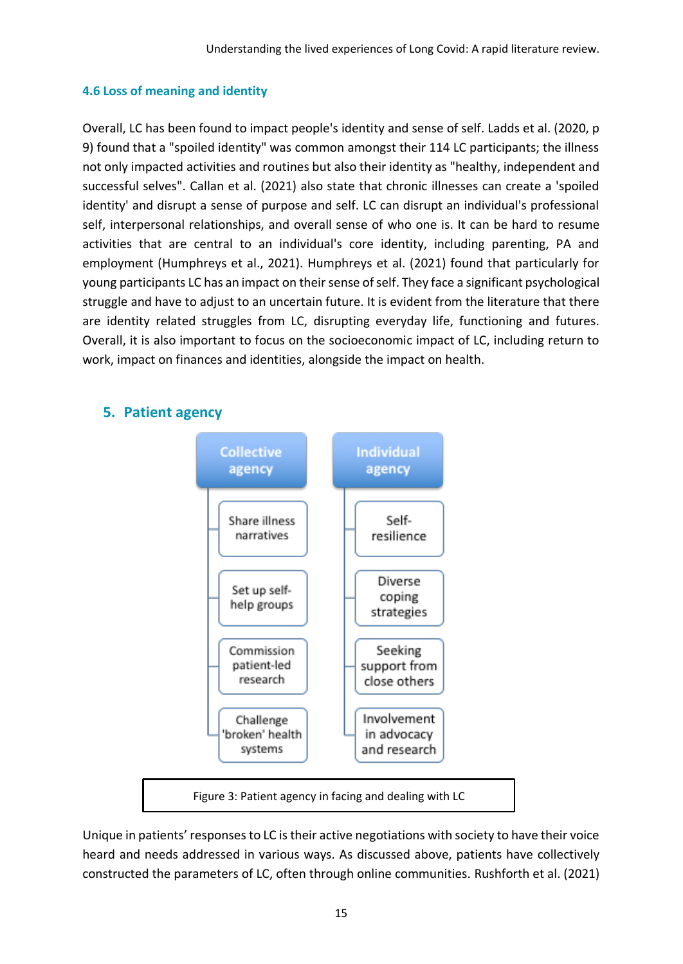#### **4.6 Loss of meaning and identity**

Overall, LC has been found to impact people's identity and sense of self. Ladds et al. (2020, p 9) found that a "spoiled identity" was common amongst their 114 LC participants; the illness not only impacted activities and routines but also their identity as "healthy, independent and successful selves". Callan et al. (2021) also state that chronic illnesses can create a 'spoiled identity' and disrupt a sense of purpose and self. LC can disrupt an individual's professional self, interpersonal relationships, and overall sense of who one is. It can be hard to resume activities that are central to an individual's core identity, including parenting, PA and employment (Humphreys et al., 2021). Humphreys et al. (2021) found that particularly for young participants LC has an impact on their sense of self. They face a significant psychological struggle and have to adjust to an uncertain future. It is evident from the literature that there are identity related struggles from LC, disrupting everyday life, functioning and futures. Overall, it is also important to focus on the socioeconomic impact of LC, including return to work, impact on finances and identities, alongside the impact on health.



#### **5. Patient agency**

Unique in patients' responses to LC is their active negotiations with society to have their voice heard and needs addressed in various ways. As discussed above, patients have collectively constructed the parameters of LC, often through online communities. Rushforth et al. (2021)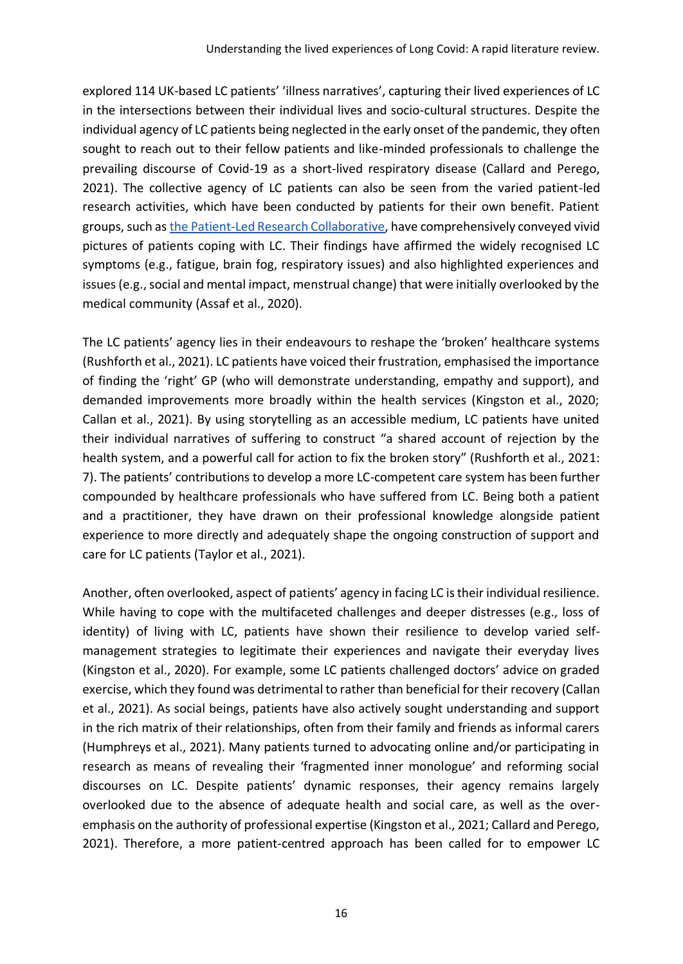explored 114 UK-based LC patients' 'illness narratives', capturing their lived experiences of LC in the intersections between their individual lives and socio-cultural structures. Despite the individual agency of LC patients being neglected in the early onset of the pandemic, they often sought to reach out to their fellow patients and like-minded professionals to challenge the prevailing discourse of Covid-19 as a short-lived respiratory disease (Callard and Perego, 2021). The collective agency of LC patients can also be seen from the varied patient-led research activities, which have been conducted by patients for their own benefit. Patient groups, such a[s the Patient-Led Research Collaborative,](https://patientresearchcovid19.com/research/) have comprehensively conveyed vivid pictures of patients coping with LC. Their findings have affirmed the widely recognised LC symptoms (e.g., fatigue, brain fog, respiratory issues) and also highlighted experiences and issues (e.g., social and mental impact, menstrual change) that were initially overlooked by the medical community (Assaf et al., 2020).

The LC patients' agency lies in their endeavours to reshape the 'broken' healthcare systems (Rushforth et al., 2021). LC patients have voiced their frustration, emphasised the importance of finding the 'right' GP (who will demonstrate understanding, empathy and support), and demanded improvements more broadly within the health services (Kingston et al., 2020; Callan et al., 2021). By using storytelling as an accessible medium, LC patients have united their individual narratives of suffering to construct "a shared account of rejection by the health system, and a powerful call for action to fix the broken story" (Rushforth et al., 2021: 7). The patients' contributions to develop a more LC-competent care system has been further compounded by healthcare professionals who have suffered from LC. Being both a patient and a practitioner, they have drawn on their professional knowledge alongside patient experience to more directly and adequately shape the ongoing construction of support and care for LC patients (Taylor et al., 2021).

Another, often overlooked, aspect of patients' agency in facing LC is their individual resilience. While having to cope with the multifaceted challenges and deeper distresses (e.g., loss of identity) of living with LC, patients have shown their resilience to develop varied selfmanagement strategies to legitimate their experiences and navigate their everyday lives (Kingston et al., 2020). For example, some LC patients challenged doctors' advice on graded exercise, which they found was detrimental to rather than beneficial for their recovery (Callan et al., 2021). As social beings, patients have also actively sought understanding and support in the rich matrix of their relationships, often from their family and friends as informal carers (Humphreys et al., 2021). Many patients turned to advocating online and/or participating in research as means of revealing their 'fragmented inner monologue' and reforming social discourses on LC. Despite patients' dynamic responses, their agency remains largely overlooked due to the absence of adequate health and social care, as well as the overemphasis on the authority of professional expertise (Kingston et al., 2021; Callard and Perego, 2021). Therefore, a more patient-centred approach has been called for to empower LC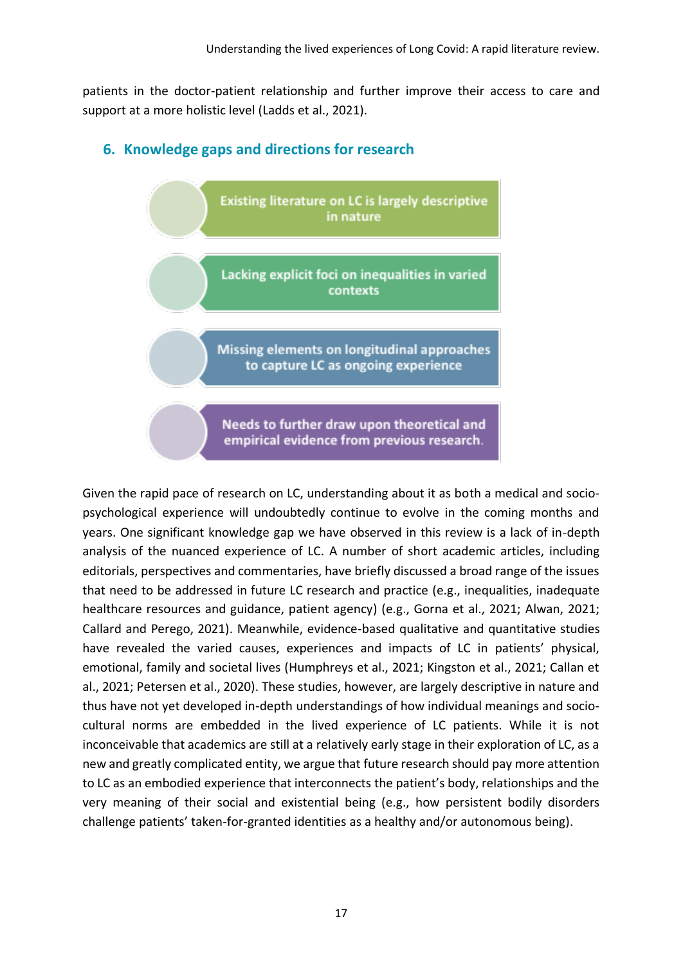patients in the doctor-patient relationship and further improve their access to care and support at a more holistic level (Ladds et al., 2021).

#### **6. Knowledge gaps and directions for research**



empirical evidence from previous research.

Given the rapid pace of research on LC, understanding about it as both a medical and sociopsychological experience will undoubtedly continue to evolve in the coming months and years. One significant knowledge gap we have observed in this review is a lack of in-depth analysis of the nuanced experience of LC. A number of short academic articles, including editorials, perspectives and commentaries, have briefly discussed a broad range of the issues that need to be addressed in future LC research and practice (e.g., inequalities, inadequate healthcare resources and guidance, patient agency) (e.g., Gorna et al., 2021; Alwan, 2021; Callard and Perego, 2021). Meanwhile, evidence-based qualitative and quantitative studies have revealed the varied causes, experiences and impacts of LC in patients' physical, emotional, family and societal lives (Humphreys et al., 2021; Kingston et al., 2021; Callan et al., 2021; Petersen et al., 2020). These studies, however, are largely descriptive in nature and thus have not yet developed in-depth understandings of how individual meanings and sociocultural norms are embedded in the lived experience of LC patients. While it is not inconceivable that academics are still at a relatively early stage in their exploration of LC, as a new and greatly complicated entity, we argue that future research should pay more attention to LC as an embodied experience that interconnects the patient's body, relationships and the very meaning of their social and existential being (e.g., how persistent bodily disorders challenge patients' taken-for-granted identities as a healthy and/or autonomous being).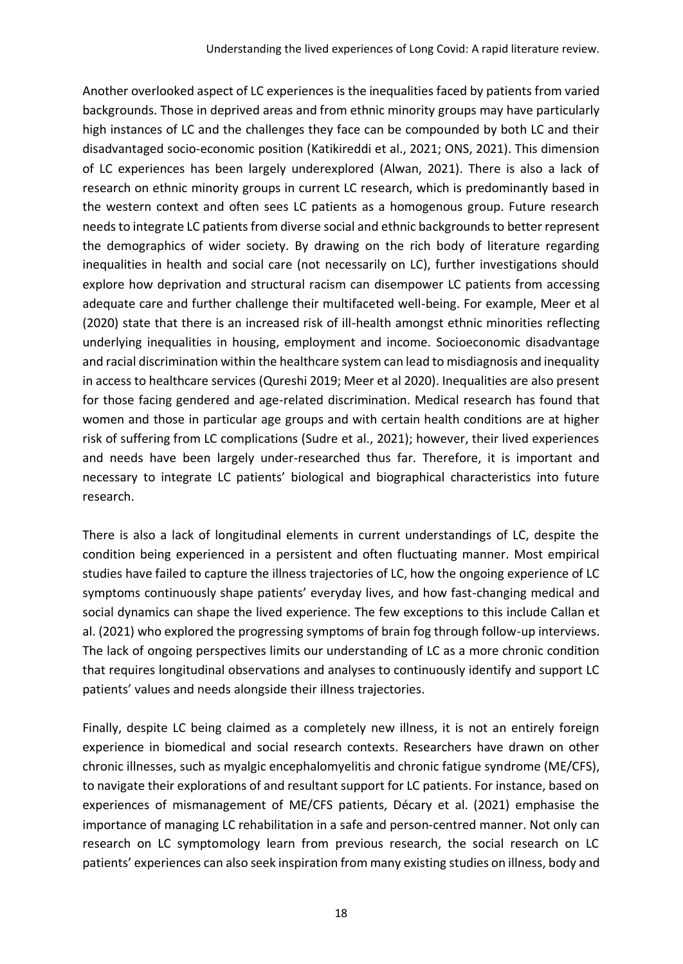Another overlooked aspect of LC experiences is the inequalities faced by patients from varied backgrounds. Those in deprived areas and from ethnic minority groups may have particularly high instances of LC and the challenges they face can be compounded by both LC and their disadvantaged socio-economic position (Katikireddi et al., 2021; ONS, 2021). This dimension of LC experiences has been largely underexplored (Alwan, 2021). There is also a lack of research on ethnic minority groups in current LC research, which is predominantly based in the western context and often sees LC patients as a homogenous group. Future research needs to integrate LC patients from diverse social and ethnic backgrounds to better represent the demographics of wider society. By drawing on the rich body of literature regarding inequalities in health and social care (not necessarily on LC), further investigations should explore how deprivation and structural racism can disempower LC patients from accessing adequate care and further challenge their multifaceted well-being. For example, Meer et al (2020) state that there is an increased risk of ill-health amongst ethnic minorities reflecting underlying inequalities in housing, employment and income. Socioeconomic disadvantage and racial discrimination within the healthcare system can lead to misdiagnosis and inequality in access to healthcare services (Qureshi 2019; Meer et al 2020). Inequalities are also present for those facing gendered and age-related discrimination. Medical research has found that women and those in particular age groups and with certain health conditions are at higher risk of suffering from LC complications (Sudre et al., 2021); however, their lived experiences and needs have been largely under-researched thus far. Therefore, it is important and necessary to integrate LC patients' biological and biographical characteristics into future research.

There is also a lack of longitudinal elements in current understandings of LC, despite the condition being experienced in a persistent and often fluctuating manner. Most empirical studies have failed to capture the illness trajectories of LC, how the ongoing experience of LC symptoms continuously shape patients' everyday lives, and how fast-changing medical and social dynamics can shape the lived experience. The few exceptions to this include Callan et al. (2021) who explored the progressing symptoms of brain fog through follow-up interviews. The lack of ongoing perspectives limits our understanding of LC as a more chronic condition that requires longitudinal observations and analyses to continuously identify and support LC patients' values and needs alongside their illness trajectories.

Finally, despite LC being claimed as a completely new illness, it is not an entirely foreign experience in biomedical and social research contexts. Researchers have drawn on other chronic illnesses, such as myalgic encephalomyelitis and chronic fatigue syndrome (ME/CFS), to navigate their explorations of and resultant support for LC patients. For instance, based on experiences of mismanagement of ME/CFS patients, Décary et al. (2021) emphasise the importance of managing LC rehabilitation in a safe and person-centred manner. Not only can research on LC symptomology learn from previous research, the social research on LC patients' experiences can also seek inspiration from many existing studies on illness, body and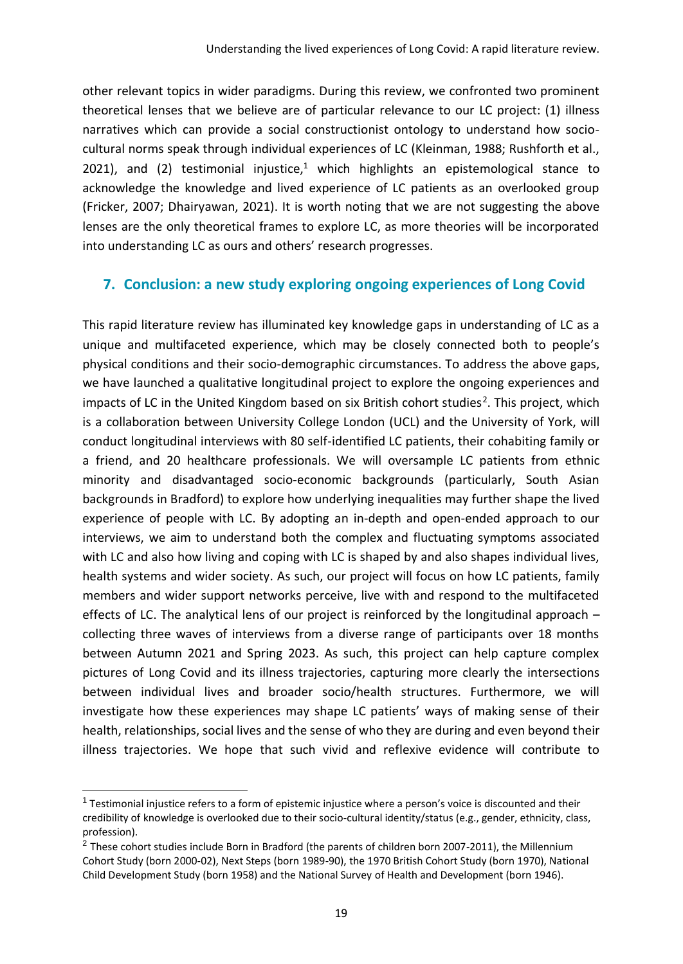other relevant topics in wider paradigms. During this review, we confronted two prominent theoretical lenses that we believe are of particular relevance to our LC project: (1) illness narratives which can provide a social constructionist ontology to understand how sociocultural norms speak through individual experiences of LC (Kleinman, 1988; Rushforth et al., 2021), and (2) testimonial injustice,<sup>1</sup> which highlights an epistemological stance to acknowledge the knowledge and lived experience of LC patients as an overlooked group (Fricker, 2007; Dhairyawan, 2021). It is worth noting that we are not suggesting the above lenses are the only theoretical frames to explore LC, as more theories will be incorporated into understanding LC as ours and others' research progresses.

#### **7. Conclusion: a new study exploring ongoing experiences of Long Covid**

This rapid literature review has illuminated key knowledge gaps in understanding of LC as a unique and multifaceted experience, which may be closely connected both to people's physical conditions and their socio-demographic circumstances. To address the above gaps, we have launched a qualitative longitudinal project to explore the ongoing experiences and impacts of LC in the United Kingdom based on six British cohort studies<sup>2</sup>. This project, which is a collaboration between University College London (UCL) and the University of York, will conduct longitudinal interviews with 80 self-identified LC patients, their cohabiting family or a friend, and 20 healthcare professionals. We will oversample LC patients from ethnic minority and disadvantaged socio-economic backgrounds (particularly, South Asian backgrounds in Bradford) to explore how underlying inequalities may further shape the lived experience of people with LC. By adopting an in-depth and open-ended approach to our interviews, we aim to understand both the complex and fluctuating symptoms associated with LC and also how living and coping with LC is shaped by and also shapes individual lives, health systems and wider society. As such, our project will focus on how LC patients, family members and wider support networks perceive, live with and respond to the multifaceted effects of LC. The analytical lens of our project is reinforced by the longitudinal approach – collecting three waves of interviews from a diverse range of participants over 18 months between Autumn 2021 and Spring 2023. As such, this project can help capture complex pictures of Long Covid and its illness trajectories, capturing more clearly the intersections between individual lives and broader socio/health structures. Furthermore, we will investigate how these experiences may shape LC patients' ways of making sense of their health, relationships, social lives and the sense of who they are during and even beyond their illness trajectories. We hope that such vivid and reflexive evidence will contribute to

<sup>&</sup>lt;sup>1</sup> Testimonial injustice refers to a form of epistemic injustice where a person's voice is discounted and their credibility of knowledge is overlooked due to their socio-cultural identity/status (e.g., gender, ethnicity, class, profession).

 $^2$  These cohort studies include Born in Bradford (the parents of children born 2007-2011), the Millennium Cohort Study (born 2000-02), Next Steps (born 1989-90), the 1970 British Cohort Study (born 1970), National Child Development Study (born 1958) and the National Survey of Health and Development (born 1946).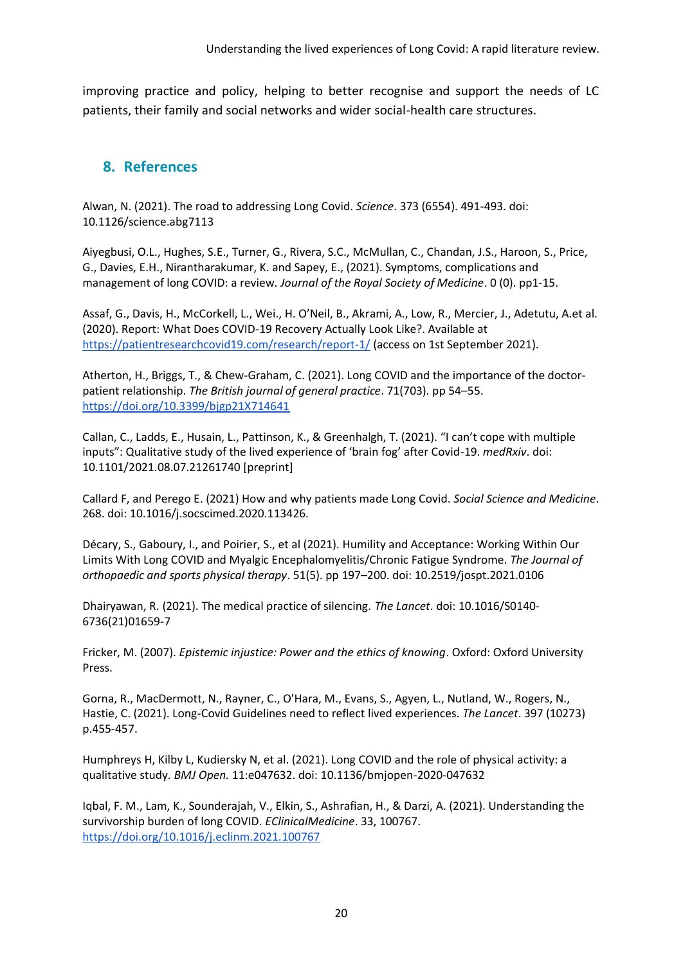improving practice and policy, helping to better recognise and support the needs of LC patients, their family and social networks and wider social-health care structures.

#### **8. References**

Alwan, N. (2021). The road to addressing Long Covid. *Science*. 373 (6554). 491-493. doi: 10.1126/science.abg7113

Aiyegbusi, O.L., Hughes, S.E., Turner, G., Rivera, S.C., McMullan, C., Chandan, J.S., Haroon, S., Price, G., Davies, E.H., Nirantharakumar, K. and Sapey, E., (2021). Symptoms, complications and management of long COVID: a review. *Journal of the Royal Society of Medicine*. 0 (0). pp1-15.

Assaf, G., Davis, H., McCorkell, L., Wei., H. O'Neil, B., Akrami, A., Low, R., Mercier, J., Adetutu, A.et al. (2020). Report: What Does COVID-19 Recovery Actually Look Like?. Available at <https://patientresearchcovid19.com/research/report-1/> (access on 1st September 2021).

Atherton, H., Briggs, T., & Chew-Graham, C. (2021). Long COVID and the importance of the doctorpatient relationship. *The British journal of general practice*. 71(703). pp 54–55. <https://doi.org/10.3399/bjgp21X714641>

Callan, C., Ladds, E., Husain, L., Pattinson, K., & Greenhalgh, T. (2021). "I can't cope with multiple inputs": Qualitative study of the lived experience of 'brain fog' after Covid-19. *medRxiv*. doi: 10.1101/2021.08.07.21261740 [preprint]

Callard F, and Perego E. (2021) How and why patients made Long Covid. *Social Science and Medicine*. 268. doi: 10.1016/j.socscimed.2020.113426.

Décary, S., Gaboury, I., and Poirier, S., et al (2021). Humility and Acceptance: Working Within Our Limits With Long COVID and Myalgic Encephalomyelitis/Chronic Fatigue Syndrome. *The Journal of orthopaedic and sports physical therapy*. 51(5). pp 197–200. doi: 10.2519/jospt.2021.0106

Dhairyawan, R. (2021). The medical practice of silencing. *The Lancet*. doi: 10.1016/S0140- 6736(21)01659-7

Fricker, M. (2007). *Epistemic injustice: Power and the ethics of knowing*. Oxford: Oxford University Press.

Gorna, R., MacDermott, N., Rayner, C., O'Hara, M., Evans, S., Agyen, L., Nutland, W., Rogers, N., Hastie, C. (2021). Long-Covid Guidelines need to reflect lived experiences. *The Lancet*. 397 (10273) p.455-457.

Humphreys H, Kilby L, Kudiersky N, et al. (2021). Long COVID and the role of physical activity: a qualitative study. *BMJ Open.* 11:e047632. doi: 10.1136/bmjopen-2020-047632

Iqbal, F. M., Lam, K., Sounderajah, V., Elkin, S., Ashrafian, H., & Darzi, A. (2021). Understanding the survivorship burden of long COVID. *EClinicalMedicine*. 33, 100767. <https://doi.org/10.1016/j.eclinm.2021.100767>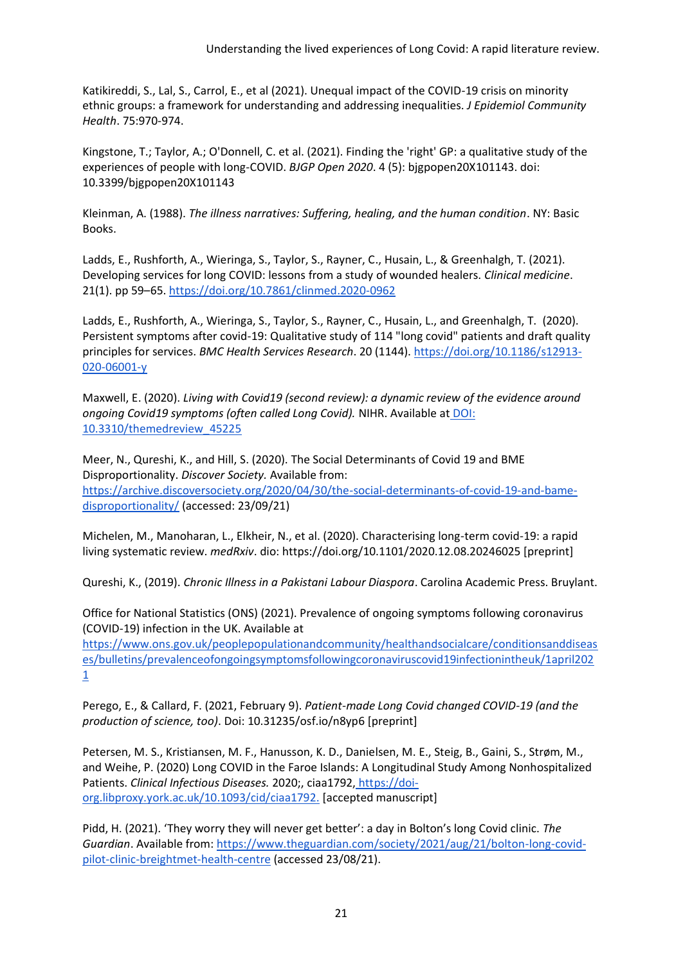Katikireddi, S., Lal, S., Carrol, E., et al (2021). Unequal impact of the COVID-19 crisis on minority ethnic groups: a framework for understanding and addressing inequalities. *J Epidemiol Community Health*. 75:970-974.

Kingstone, T.; Taylor, A.; O'Donnell, C. et al. (2021). Finding the 'right' GP: a qualitative study of the experiences of people with long-COVID. *BJGP Open 2020*. 4 (5): bjgpopen20X101143. doi: 10.3399/bjgpopen20X101143

Kleinman, A. (1988). *The illness narratives: Suffering, healing, and the human condition*. NY: Basic Books.

Ladds, E., Rushforth, A., Wieringa, S., Taylor, S., Rayner, C., Husain, L., & Greenhalgh, T. (2021). Developing services for long COVID: lessons from a study of wounded healers. *Clinical medicine*. 21(1). pp 59–65.<https://doi.org/10.7861/clinmed.2020-0962>

Ladds, E., Rushforth, A., Wieringa, S., Taylor, S., Rayner, C., Husain, L., and Greenhalgh, T. (2020). Persistent symptoms after covid-19: Qualitative study of 114 "long covid" patients and draft quality principles for services. *BMC Health Services Research*. 20 (1144). [https://doi.org/10.1186/s12913-](https://doi.org/10.1186/s12913-020-06001-y) [020-06001-y](https://doi.org/10.1186/s12913-020-06001-y)

Maxwell, E. (2020). *Living with Covid19 (second review): a dynamic review of the evidence around ongoing Covid19 symptoms (often called Long Covid).* NIHR. Available at [DOI:](https://evidence.nihr.ac.uk/wp-content/uploads/2020/10/Living-with-Covid-Themed-Review-October-2020.pdf)  [10.3310/themedreview\\_45225](https://evidence.nihr.ac.uk/wp-content/uploads/2020/10/Living-with-Covid-Themed-Review-October-2020.pdf)

Meer, N., Qureshi, K., and Hill, S. (2020). The Social Determinants of Covid 19 and BME Disproportionality. *Discover Society.* Available from: [https://archive.discoversociety.org/2020/04/30/the-social-determinants-of-covid-19-and-bame](https://archive.discoversociety.org/2020/04/30/the-social-determinants-of-covid-19-and-bame-disproportionality/)[disproportionality/](https://archive.discoversociety.org/2020/04/30/the-social-determinants-of-covid-19-and-bame-disproportionality/) (accessed: 23/09/21)

Michelen, M., Manoharan, L., Elkheir, N., et al. (2020). Characterising long-term covid-19: a rapid living systematic review. *medRxiv*. dio: https://doi.org/10.1101/2020.12.08.20246025 [preprint]

Qureshi, K., (2019). *Chronic Illness in a Pakistani Labour Diaspora*. Carolina Academic Press. Bruylant.

Office for National Statistics (ONS) (2021). Prevalence of ongoing symptoms following coronavirus (COVID-19) infection in the UK. Available at

[https://www.ons.gov.uk/peoplepopulationandcommunity/healthandsocialcare/conditionsanddiseas](https://www.ons.gov.uk/peoplepopulationandcommunity/healthandsocialcare/conditionsanddiseases/bulletins/prevalenceofongoingsymptomsfollowingcoronaviruscovid19infectionintheuk/1april2021) [es/bulletins/prevalenceofongoingsymptomsfollowingcoronaviruscovid19infectionintheuk/1april202](https://www.ons.gov.uk/peoplepopulationandcommunity/healthandsocialcare/conditionsanddiseases/bulletins/prevalenceofongoingsymptomsfollowingcoronaviruscovid19infectionintheuk/1april2021) [1](https://www.ons.gov.uk/peoplepopulationandcommunity/healthandsocialcare/conditionsanddiseases/bulletins/prevalenceofongoingsymptomsfollowingcoronaviruscovid19infectionintheuk/1april2021)

Perego, E., & Callard, F. (2021, February 9). *Patient-made Long Covid changed COVID-19 (and the production of science, too)*. Doi: 10.31235/osf.io/n8yp6 [preprint]

Petersen, M. S., Kristiansen, M. F., Hanusson, K. D., Danielsen, M. E., Steig, B., Gaini, S., Strøm, M., and Weihe, P. (2020) Long COVID in the Faroe Islands: A Longitudinal Study Among Nonhospitalized Patients. *Clinical Infectious Diseases.* 2020;, ciaa1792, [https://doi](https://doi-org.libproxy.york.ac.uk/10.1093/cid/ciaa1792.)[org.libproxy.york.ac.uk/10.1093/cid/ciaa1792.](https://doi-org.libproxy.york.ac.uk/10.1093/cid/ciaa1792.) [accepted manuscript]

Pidd, H. (2021). 'They worry they will never get better': a day in Bolton's long Covid clinic. *The Guardian*. Available from: [https://www.theguardian.com/society/2021/aug/21/bolton-long-covid](https://www.theguardian.com/society/2021/aug/21/bolton-long-covid-pilot-clinic-breightmet-health-centre)[pilot-clinic-breightmet-health-centre](https://www.theguardian.com/society/2021/aug/21/bolton-long-covid-pilot-clinic-breightmet-health-centre) (accessed 23/08/21).